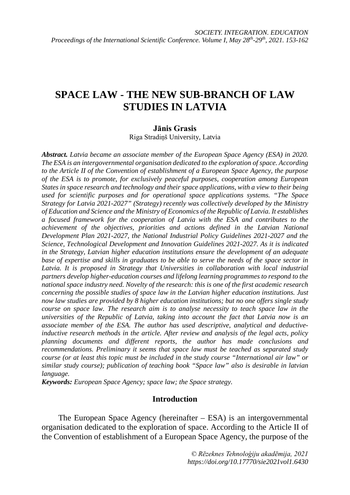# **SPACE LAW - THE NEW SUB-BRANCH OF LAW STUDIES IN LATVIA**

### **Jānis Grasis**

Riga Stradiņš University, Latvia

*Abstract. Latvia became an associate member of the European Space Agency (ESA) in 2020. The ESA is an intergovernmental organisation dedicated to the exploration of space. According to the Article II of the Convention of establishment of a European Space Agency, the purpose of the ESA is to promote, for exclusively peaceful purposes, cooperation among European States in space research and technology and their space applications, with a view to their being used for scientific purposes and for operational space applications systems. "The Space Strategy for Latvia 2021-2027" (Strategy) recently was collectively developed by the Ministry of Education and Science and the Ministry of Economics of the Republic of Latvia. It establishes a focused framework for the cooperation of Latvia with the ESA and contributes to the achievement of the objectives, priorities and actions defined in the Latvian National Development Plan 2021-2027, the National Industrial Policy Guidelines 2021-2027 and the Science, Technological Development and Innovation Guidelines 2021-2027. As it is indicated in the Strategy, Latvian higher education institutions ensure the development of an adequate base of expertise and skills in graduates to be able to serve the needs of the space sector in Latvia. It is proposed in Strategy that Universities in collaboration with local industrial partners develop higher-education courses and lifelong learning programmes to respond to the national space industry need. Novelty of the research: this is one of the first academic research concerning the possible studies of space law in the Latvian higher education institutions. Just now law studies are provided by 8 higher education institutions; but no one offers single study course on space law. The research aim is to analyse necessity to teach space law in the universities of the Republic of Latvia, taking into account the fact that Latvia now is an associate member of the ESA. The author has used descriptive, analytical and deductiveinductive research methods in the article. After review and analysis of the legal acts, policy planning documents and different reports, the author has made conclusions and recommendations. Preliminary it seems that space law must be teached as separated study course (or at least this topic must be included in the study course "International air law" or similar study course); publication of teaching book "Space law" also is desirable in latvian language.* 

*Keywords: European Space Agency; space law; the Space strategy.*

## **Introduction**

The European Space Agency (hereinafter – ESA) is an intergovernmental organisation dedicated to the exploration of space. According to the Article II of the Convention of establishment of a European Space Agency, the purpose of the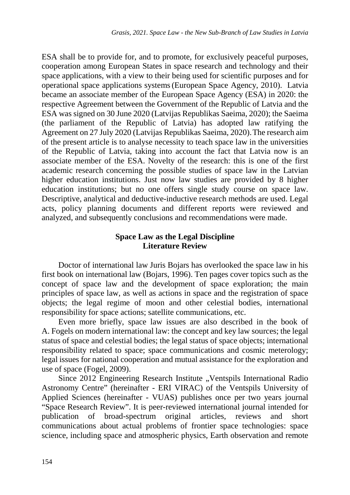ESA shall be to provide for, and to promote, for exclusively peaceful purposes, cooperation among European States in space research and technology and their space applications, with a view to their being used for scientific purposes and for operational space applications systems(European Space Agency, 2010). Latvia became an associate member of the European Space Agency (ESA) in 2020: the respective Agreement between the Government of the Republic of Latvia and the ESA was signed on 30 June 2020 (Latvijas Republikas Saeima, 2020); the Saeima (the parliament of the Republic of Latvia) has adopted law ratifying the Agreement on 27 July 2020 (Latvijas Republikas Saeima, 2020).The research aim of the present article is to analyse necessity to teach space law in the universities of the Republic of Latvia, taking into account the fact that Latvia now is an associate member of the ESA. Novelty of the research: this is one of the first academic research concerning the possible studies of space law in the Latvian higher education institutions. Just now law studies are provided by 8 higher education institutions; but no one offers single study course on space law. Descriptive, analytical and deductive-inductive research methods are used. Legal acts, policy planning documents and different reports were reviewed and analyzed, and subsequently conclusions and recommendations were made.

# **Space Law as the Legal Discipline Literature Review**

Doctor of international law Juris Bojars has overlooked the space law in his first book on international law (Bojars, 1996). Ten pages cover topics such as the concept of space law and the development of space exploration; the main principles of space law, as well as actions in space and the registration of space objects; the legal regime of moon and other celestial bodies, international responsibility for space actions; satellite communications, etc.

Even more briefly, space law issues are also described in the book of A. Fogels on modern international law: the concept and key law sources; the legal status of space and celestial bodies; the legal status of space objects; international responsibility related to space; space communications and cosmic meterology; legal issues for national cooperation and mutual assistance for the exploration and use of space (Fogel, 2009).

Since 2012 Engineering Research Institute "Ventspils International Radio Astronomy Centre" (hereinafter - ERI VIRAC) of the Ventspils University of Applied Sciences (hereinafter - VUAS) publishes once per two years journal "Space Research Review". It is peer-reviewed international journal intended for publication of broad-spectrum original articles, reviews and short communications about actual problems of frontier space technologies: space science, including space and atmospheric physics, Earth observation and remote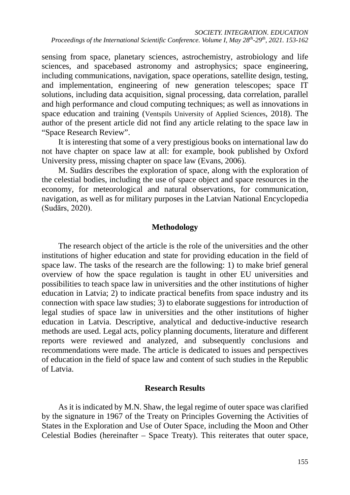sensing from space, planetary sciences, astrochemistry, astrobiology and life sciences, and spacebased astronomy and astrophysics; space engineering, including communications, navigation, space operations, satellite design, testing, and implementation, engineering of new generation telescopes; space IT solutions, including data acquisition, signal processing, data correlation, parallel and high performance and cloud computing techniques; as well as innovations in space education and training (Ventspils University of Applied Sciences, 2018). The author of the present article did not find any article relating to the space law in "Space Research Review".

It is interesting that some of a very prestigious books on international law do not have chapter on space law at all: for example, book published by Oxford University press, missing chapter on space law (Evans, 2006).

M. Sudārs describes the exploration of space, along with the exploration of the celestial bodies, including the use of space object and space resources in the economy, for meteorological and natural observations, for communication, navigation, as well as for military purposes in the Latvian National Encyclopedia (Sudārs, 2020).

## **Methodology**

The research object of the article is the role of the universities and the other institutions of higher education and state for providing education in the field of space law. The tasks of the research are the following: 1) to make brief general overview of how the space regulation is taught in other EU universities and possibilities to teach space law in universities and the other institutions of higher education in Latvia; 2) to indicate practical benefits from space industry and its connection with space law studies; 3) to elaborate suggestions for introduction of legal studies of space law in universities and the other institutions of higher education in Latvia. Descriptive, analytical and deductive-inductive research methods are used. Legal acts, policy planning documents, literature and different reports were reviewed and analyzed, and subsequently conclusions and recommendations were made. The article is dedicated to issues and perspectives of education in the field of space law and content of such studies in the Republic of Latvia.

## **Research Results**

As it is indicated by M.N. Shaw, the legal regime of outer space was clarified by the signature in 1967 of the Treaty on Principles Governing the Activities of States in the Exploration and Use of Outer Space, including the Moon and Other Celestial Bodies (hereinafter – Space Treaty). This reiterates that outer space,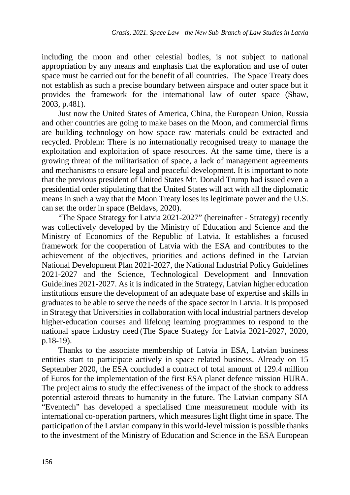including the moon and other celestial bodies, is not subject to national appropriation by any means and emphasis that the exploration and use of outer space must be carried out for the benefit of all countries. The Space Treaty does not establish as such a precise boundary between airspace and outer space but it provides the framework for the international law of outer space (Shaw, 2003, p.481).

Just now the United States of America, China, the European Union, Russia and other countries are going to make bases on the Moon, and commercial firms are building technology on how space raw materials could be extracted and recycled. Problem: There is no internationally recognised treaty to manage the exploitation and exploitation of space resources. At the same time, there is a growing threat of the militarisation of space, a lack of management agreements and mechanisms to ensure legal and peaceful development. It is important to note that the previous president of United States Mr. Donald Trump had issued even a presidential order stipulating that the United States will act with all the diplomatic means in such a way that the Moon Treaty loses its legitimate power and the U.S. can set the order in space (Beldavs, 2020).

"The Space Strategy for Latvia 2021-2027" (hereinafter - Strategy) recently was collectively developed by the Ministry of Education and Science and the Ministry of Economics of the Republic of Latvia. It establishes a focused framework for the cooperation of Latvia with the ESA and contributes to the achievement of the objectives, priorities and actions defined in the Latvian National Development Plan 2021-2027, the National Industrial Policy Guidelines 2021-2027 and the Science, Technological Development and Innovation Guidelines 2021-2027. As it is indicated in the Strategy, Latvian higher education institutions ensure the development of an adequate base of expertise and skills in graduates to be able to serve the needs of the space sector in Latvia. It is proposed in Strategy that Universities in collaboration with local industrial partners develop higher-education courses and lifelong learning programmes to respond to the national space industry need (The Space Strategy for Latvia 2021-2027, 2020, p.18-19).

Thanks to the associate membership of Latvia in ESA, Latvian business entities start to participate actively in space related business. Already on 15 September 2020, the ESA concluded a contract of total amount of 129.4 million of Euros for the implementation of the first ESA planet defence mission HURA. The project aims to study the effectiveness of the impact of the shock to address potential asteroid threats to humanity in the future. The Latvian company SIA "Eventech" has developed a specialised time measurement module with its international co-operation partners, which measures light flight time in space. The participation of the Latvian company in this world-level mission is possible thanks to the investment of the Ministry of Education and Science in the ESA European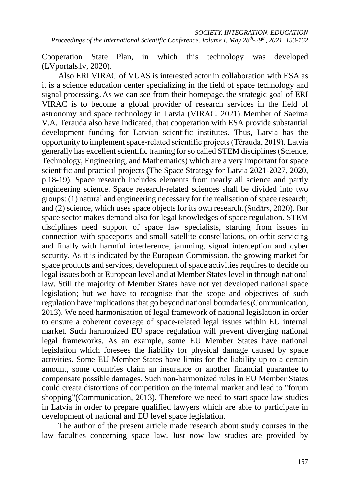Cooperation State Plan, in which this technology was developed (LVportals.lv, 2020).

Also ERI VIRAC of VUAS is interested actor in collaboration with ESA as it is a science education center specializing in the field of space technology and signal processing. As we can see from their homepage, the strategic goal of ERI VIRAC is to become a global provider of research services in the field of astronomy and space technology in Latvia (VIRAC, 2021). Member of Saeima V.A. Terauda also have indicated, that cooperation with ESA provide substantial development funding for Latvian scientific institutes. Thus, Latvia has the opportunity to implement space-related scientific projects (Tērauda, 2019). Latvia generally has excellent scientific training for so called STEM disciplines (Science, Technology, Engineering, and Mathematics) which are a very important for space scientific and practical projects (The Space Strategy for Latvia 2021-2027, 2020, p.18-19). Space research includes elements from nearly all science and partly engineering science. Space research-related sciences shall be divided into two groups: (1) natural and engineering necessary for the realisation of space research; and (2) science, which uses space objects for its own research.(Sudārs, 2020). But space sector makes demand also for legal knowledges of space regulation. STEM disciplines need support of space law specialists, starting from issues in connection with spaceports and small satellite constellations, on-orbit servicing and finally with harmful interference, jamming, signal interception and cyber security. As it is indicated by the European Commission, the growing market for space products and services, development of space activities requires to decide on legal issues both at European level and at Member States level in through national law. Still the majority of Member States have not yet developed national space legislation; but we have to recognise that the scope and objectives of such regulation have implications that go beyond national boundaries(Communication, 2013). We need harmonisation of legal framework of national legislation in order to ensure a coherent coverage of space-related legal issues within EU internal market. Such harmonized EU space regulation will prevent diverging national legal frameworks. As an example, some EU Member States have national legislation which foresees the liability for physical damage caused by space activities. Some EU Member States have limits for the liability up to a certain amount, some countries claim an insurance or another financial guarantee to compensate possible damages. Such non-harmonized rules in EU Member States could create distortions of competition on the internal market and lead to "forum shopping"(Communication, 2013). Therefore we need to start space law studies in Latvia in order to prepare qualified lawyers which are able to participate in development of national and EU level space legislation.

The author of the present article made research about study courses in the law faculties concerning space law. Just now law studies are provided by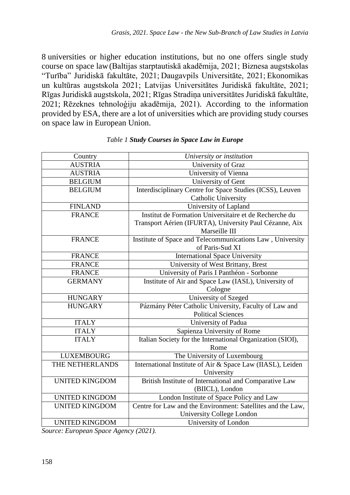8 universities or higher education institutions, but no one offers single study course on space law(Baltijas starptautiskā akadēmija, 2021; Biznesa augstskolas "Turība" Juridiskā fakultāte, 2021; Daugavpils Universitāte, 2021; Ekonomikas un kultūras augstskola 2021; Latvijas Universitātes Juridiskā fakultāte, 2021; Rīgas Juridiskā augstskola, 2021; Rīgas Stradiņa universitātes Juridiskā fakultāte, 2021; Rēzeknes tehnoloģiju akadēmija, 2021). According to the information provided by ESA, there are a lot of universities which are providing study courses on space law in European Union.

| Country               | University or institution                                   |
|-----------------------|-------------------------------------------------------------|
| <b>AUSTRIA</b>        | University of Graz                                          |
| <b>AUSTRIA</b>        | University of Vienna                                        |
| <b>BELGIUM</b>        | University of Gent                                          |
| <b>BELGIUM</b>        | Interdisciplinary Centre for Space Studies (ICSS), Leuven   |
|                       | Catholic University                                         |
| <b>FINLAND</b>        | University of Lapland                                       |
| <b>FRANCE</b>         | Institut de Formation Universitaire et de Recherche du      |
|                       | Transport Aérien (IFURTA), University Paul Cézanne, Aix     |
|                       | Marseille III                                               |
| <b>FRANCE</b>         | Institute of Space and Telecommunications Law, University   |
|                       | of Paris-Sud XI                                             |
| <b>FRANCE</b>         | <b>International Space University</b>                       |
| FRANCE                | University of West Brittany, Brest                          |
| <b>FRANCE</b>         | University of Paris I Panthéon - Sorbonne                   |
| <b>GERMANY</b>        | Institute of Air and Space Law (IASL), University of        |
|                       | Cologne                                                     |
| <b>HUNGARY</b>        | University of Szeged                                        |
| <b>HUNGARY</b>        | Pázmány Péter Catholic University, Faculty of Law and       |
|                       | <b>Political Sciences</b>                                   |
| <b>ITALY</b>          | University of Padua                                         |
| <b>ITALY</b>          | Sapienza University of Rome                                 |
| <b>ITALY</b>          | Italian Society for the International Organization (SIOI),  |
|                       | Rome                                                        |
| <b>LUXEMBOURG</b>     | The University of Luxembourg                                |
| THE NETHERLANDS       | International Institute of Air & Space Law (IIASL), Leiden  |
|                       | University                                                  |
| <b>UNITED KINGDOM</b> | British Institute of International and Comparative Law      |
|                       | (BIICL), London                                             |
| <b>UNITED KINGDOM</b> | London Institute of Space Policy and Law                    |
| <b>UNITED KINGDOM</b> | Centre for Law and the Environment: Satellites and the Law, |
|                       | University College London                                   |
| <b>UNITED KINGDOM</b> | University of London                                        |

#### *Table 1 Study Courses in Space Law in Europe*

*Source: European Space Agency (2021).*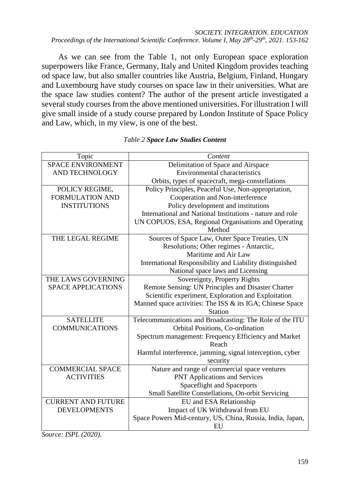*SOCIETY. INTEGRATION. EDUCATION Proceedings of the International Scientific Conference. Volume I, May 28th-29th, 2021. 153-162*

As we can see from the Table 1, not only European space exploration superpowers like France, Germany, Italy and United Kingdom provides teaching od space law, but also smaller countries like Austria, Belgium, Finland, Hungary and Luxembourg have study courses on space law in their universities. What are the space law studies content? The author of the present article investigated a several study courses from the above mentioned universities. For illustration I will give small inside of a study course prepared by London Institute of Space Policy and Law, which, in my view, is one of the best.

| Topic                     | Content                                                    |
|---------------------------|------------------------------------------------------------|
| <b>SPACE ENVIRONMENT</b>  | Delimitation of Space and Airspace                         |
| AND TECHNOLOGY            | <b>Environmental characteristics</b>                       |
|                           | Orbits, types of spacecraft, mega-constellations           |
| POLICY REGIME,            | Policy Principles, Peaceful Use, Non-appropriation,        |
| <b>FORMULATION AND</b>    | Cooperation and Non-interference                           |
| <b>INSTITUTIONS</b>       | Policy development and institutions                        |
|                           | International and National Institutions - nature and role  |
|                           | UN COPUOS, ESA, Regional Organisations and Operating       |
|                           | Method                                                     |
| THE LEGAL REGIME          | Sources of Space Law, Outer Space Treaties, UN             |
|                           | Resolutions; Other regimes - Antarctic,                    |
|                           | Maritime and Air Law                                       |
|                           | International Responsibility and Liability distinguished   |
|                           | National space laws and Licensing                          |
| THE LAWS GOVERNING        | Sovereignty, Property Rights                               |
| <b>SPACE APPLICATIONS</b> | Remote Sensing: UN Principles and Disaster Charter         |
|                           | Scientific experiment, Exploration and Exploitation        |
|                           | Manned space activities: The ISS & its IGA; Chinese Space  |
|                           | <b>Station</b>                                             |
| <b>SATELLITE</b>          | Telecommunications and Broadcasting: The Role of the ITU   |
| <b>COMMUNICATIONS</b>     | Orbital Positions, Co-ordination                           |
|                           | Spectrum management: Frequency Efficiency and Market       |
|                           | Reach                                                      |
|                           | Harmful interference, jamming, signal interception, cyber  |
|                           | security                                                   |
| <b>COMMERCIAL SPACE</b>   | Nature and range of commercial space ventures              |
| <b>ACTIVITIES</b>         | <b>PNT Applications and Services</b>                       |
|                           | Spaceflight and Spaceports                                 |
|                           | Small Satellite Constellations, On-orbit Servicing         |
| <b>CURRENT AND FUTURE</b> | EU and ESA Relationship                                    |
| <b>DEVELOPMENTS</b>       | Impact of UK Withdrawal from EU                            |
|                           | Space Powers Mid-century, US, China, Russia, India, Japan, |
|                           | EU                                                         |

#### *Table 2 Space Law Studies Content*

*Source: ISPL (2020).*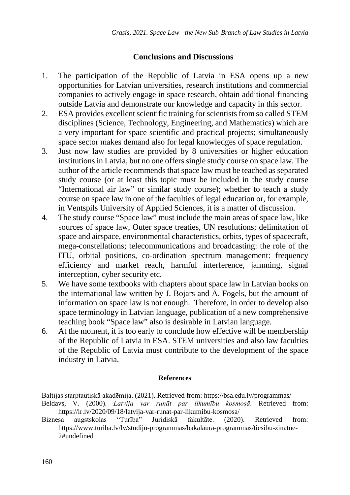# **Conclusions and Discussions**

- 1. The participation of the Republic of Latvia in ESA opens up a new opportunities for Latvian universities, research institutions and commercial companies to actively engage in space research, obtain additional financing outside Latvia and demonstrate our knowledge and capacity in this sector.
- 2. ESA provides excellent scientific training for scientists from so called STEM disciplines (Science, Technology, Engineering, and Mathematics) which are a very important for space scientific and practical projects; simultaneously space sector makes demand also for legal knowledges of space regulation.
- 3. Just now law studies are provided by 8 universities or higher education institutions in Latvia, but no one offers single study course on space law. The author of the article recommends that space law must be teached as separated study course (or at least this topic must be included in the study course "International air law" or similar study course); whether to teach a study course on space law in one of the faculties of legal education or, for example, in Ventspils University of Applied Sciences, it is a matter of discussion.
- 4. The study course "Space law" must include the main areas of space law, like Sources of space law, Outer space treaties, UN resolutions; delimitation of space and airspace, environmental characteristics, orbits, types of spacecraft, mega-constellations; telecommunications and broadcasting: the role of the ITU, orbital positions, co-ordination spectrum management: frequency efficiency and market reach, harmful interference, jamming, signal interception, cyber security etc.
- 5. We have some textbooks with chapters about space law in Latvian books on the international law written by J. Bojars and A. Fogels, but the amount of information on space law is not enough. Therefore, in order to develop also space terminology in Latvian language, publication of a new comprehensive teaching book "Space law" also is desirable in Latvian language.
- 6. At the moment, it is too early to conclude how effective will be membership of the Republic of Latvia in ESA. STEM universities and also law faculties of the Republic of Latvia must contribute to the development of the space industry in Latvia.

### **References**

Baltijas starptautiskā akadēmija. (2021). Retrieved from:<https://bsa.edu.lv/programmas/>

- Beldavs, V. (2000). *Latvija var runāt par likumību kosmosā*. Retrieved from: <https://ir.lv/2020/09/18/latvija-var-runat-par-likumibu-kosmosa/>
- Biznesa augstskolas "Turība" Juridiskā fakultāte. (2020). Retrieved from: [https://www.turiba.lv/lv/studiju-programmas/bakalaura-programmas/tiesibu-zinatne-](https://www.turiba.lv/lv/studiju-programmas/bakalaura-programmas/tiesibu-zinatne-2#undefined)[2#undefined](https://www.turiba.lv/lv/studiju-programmas/bakalaura-programmas/tiesibu-zinatne-2#undefined)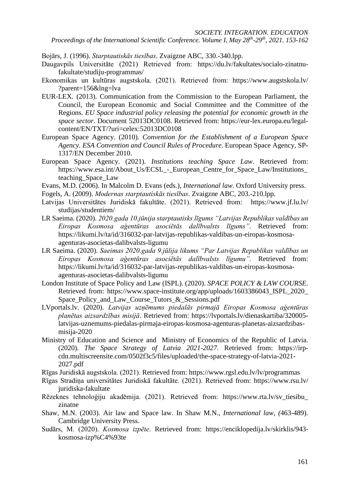*Proceedings of the International Scientific Conference. Volume I, May 28th-29th, 2021. 153-162*

Bojārs, J. (1996). *Starptautiskās tiesības*. Zvaigzne ABC, 330.-340.lpp.

- Daugavpils Universitāte (2021) Retrieved from: [https://du.lv/fakultates/socialo-zinatnu](https://du.lv/fakultates/socialo-zinatnu-fakultate/studiju-programmas/)[fakultate/studiju-programmas/](https://du.lv/fakultates/socialo-zinatnu-fakultate/studiju-programmas/)
- Ekonomikas un kultūras augstskola. (2021). Retrieved from: [https://www.augstskola.lv/](https://www.augstskola.lv/?parent=156&lng=lva) [?parent=156&lng=lva](https://www.augstskola.lv/?parent=156&lng=lva)
- EUR-LEX. (2013). Communication from the Commission to the European Parliament, the Council, the European Economic and Social Committee and the Committee of the Regions. *EU Space industrial policy releasing the potential for economic growth in the space sector*. Document 52013DC0108. Retrieved from: [https://eur-lex.europa.eu/legal](https://eur-lex.europa.eu/legal-content/EN/TXT/?uri=celex:52013DC0108)[content/EN/TXT/?uri=celex:52013DC0108](https://eur-lex.europa.eu/legal-content/EN/TXT/?uri=celex:52013DC0108)
- European Space Agency. (2010). *Convention for the Establishment of a European Space Agency. ESA Convention and Council Rules of Procedure*. European Space Agency, SP-1317/EN December 2010.
- European Space Agency. (2021). *Institutions teaching Space Law*. Retrieved from: [https://www.esa.int/About\\_Us/ECSL\\_-\\_European\\_Centre\\_for\\_Space\\_Law/Institutions\\_](https://www.esa.int/About_Us/ECSL_-_European_Centre_for_Space_Law/Institutions_teaching_Space_Law) [teaching\\_Space\\_Law](https://www.esa.int/About_Us/ECSL_-_European_Centre_for_Space_Law/Institutions_teaching_Space_Law)
- Evans, M.D. (2006). In Malcolm D. Evans (eds.), *International law*. Oxford University press.
- Fogels, A. (2009). *Modernas starptautiskās tiesības*. Zvaigzne ABC, 203.-210.lpp.
- Latvijas Universitātes Juridiskā fakultāte. (2021). Retrieved from: [https://www.jf.lu.lv/](https://www.jf.lu.lv/studijas/studentiem/) [studijas/studentiem/](https://www.jf.lu.lv/studijas/studentiem/)
- LR Saeima. (2020). *2020.gada 10.jūnija starptautisks līgums "Latvijas Republikas valdības un Eiropas Kosmosa aģentūras asociētās dalībvalsts līgums"*. Retrieved from: [https://likumi.lv/ta/id/316032-par-latvijas-republikas-valdibas-un-eiropas-kosmosa](https://likumi.lv/ta/id/316032-par-latvijas-republikas-valdibas-un-eiropas-kosmosa-agenturas-asocietas-dalibvalsts-ligumu)[agenturas-asocietas-dalibvalsts-ligumu](https://likumi.lv/ta/id/316032-par-latvijas-republikas-valdibas-un-eiropas-kosmosa-agenturas-asocietas-dalibvalsts-ligumu)
- LR Saeima. (2020). *Saeimas 2020.gada 9.jūlija likums "Par Latvijas Republikas valdības un Eiropas Kosmosa aģentūras asociētās dalībvalsts līgumu".* Retrieved from: [https://likumi.lv/ta/id/316032-par-latvijas-republikas-valdibas-un-eiropas-kosmosa](https://likumi.lv/ta/id/316032-par-latvijas-republikas-valdibas-un-eiropas-kosmosa-agenturas-asocietas-dalibvalsts-ligumu)[agenturas-asocietas-dalibvalsts-ligumu](https://likumi.lv/ta/id/316032-par-latvijas-republikas-valdibas-un-eiropas-kosmosa-agenturas-asocietas-dalibvalsts-ligumu)
- London Institute of Space Policy and Law (ISPL). (2020). *SPACE POLICY & LAW COURSE*. Retrieved from: [https://www.space-institute.org/app/uploads/1603386043\\_ISPL\\_2020\\_](https://www.space-institute.org/app/uploads/1603386043_ISPL_2020_Space_Policy_and_Law_Course_Tutors_&_Sessions.pdf) Space Policy and Law Course Tutors & Sessions.pdf
- LVportals.lv. (2020). *Latvijas uzņēmums piedalās pirmajā Eiropas Kosmosa aģentūras planētas aizsardzības misijā*. Retrieved from: [https://lvportals.lv/dienaskartiba/320005](https://lvportals.lv/dienaskartiba/320005-latvijas-uznemums-piedalas-pirmaja-eiropas-kosmosa-agenturas-planetas-aizsardzibas-misija-2020) [latvijas-uznemums-piedalas-pirmaja-eiropas-kosmosa-agenturas-planetas-aizsardzibas](https://lvportals.lv/dienaskartiba/320005-latvijas-uznemums-piedalas-pirmaja-eiropas-kosmosa-agenturas-planetas-aizsardzibas-misija-2020)[misija-2020](https://lvportals.lv/dienaskartiba/320005-latvijas-uznemums-piedalas-pirmaja-eiropas-kosmosa-agenturas-planetas-aizsardzibas-misija-2020)
- Ministry of Education and Science and Ministry of Economics of the Republic of Latvia. (2020). *The Space Strategy of Latvia 2021-2027.* Retrieved from: [https://irp](https://irp-cdn.multiscreensite.com/0502f3c5/files/uploaded/the-space-strategy-of-latvia-2021-2027.pdf)[cdn.multiscreensite.com/0502f3c5/files/uploaded/the-space-strategy-of-latvia-2021-](https://irp-cdn.multiscreensite.com/0502f3c5/files/uploaded/the-space-strategy-of-latvia-2021-2027.pdf) [2027.pdf](https://irp-cdn.multiscreensite.com/0502f3c5/files/uploaded/the-space-strategy-of-latvia-2021-2027.pdf)
- Rīgas Juridiskā augstskola. (2021). Retrieved from:<https://www.rgsl.edu.lv/lv/programmas>
- Rīgas Stradiņa universitātes Juridiskā fakultāte. (2021). Retrieved from: [https://www.rsu.lv/](https://www.rsu.lv/juridiska-fakultate) [juridiska-fakultate](https://www.rsu.lv/juridiska-fakultate)
- Rēzeknes tehnoloģiju akadēmija. (2021). Retrieved from: [https://www.rta.lv/sv\\_tiesibu\\_](https://www.rta.lv/sv_tiesibu_zinatne) [zinatne](https://www.rta.lv/sv_tiesibu_zinatne)
- Shaw, M.N. (2003). Air law and Space law. In Shaw M.N., *International law, (*463-489). Cambridge University Press.
- Sudārs, M. (2020). *Kosmosa izpēte*. Retrieved from: [https://enciklopedija.lv/skirklis/943](https://enciklopedija.lv/skirklis/943-kosmosa-izp%C4%93te) [kosmosa-izp%C4%93te](https://enciklopedija.lv/skirklis/943-kosmosa-izp%C4%93te)